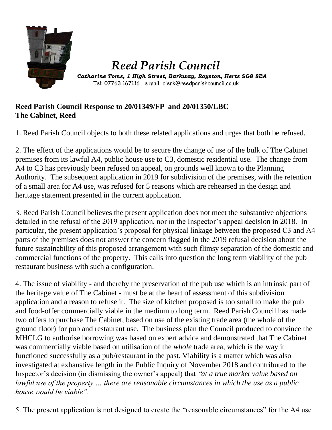

## *Reed Parish Council*

Catharine Toms, 1 High Street, Barkway, Royston, Herts SG8 8EA Tel: 07763 167116 e mail: clerk@reedparishcouncil.co.uk

## **Reed Parish Council Response to 20/01349/FP and 20/01350/LBC The Cabinet, Reed**

1. Reed Parish Council objects to both these related applications and urges that both be refused.

2. The effect of the applications would be to secure the change of use of the bulk of The Cabinet premises from its lawful A4, public house use to C3, domestic residential use. The change from A4 to C3 has previously been refused on appeal, on grounds well known to the Planning Authority. The subsequent application in 2019 for subdivision of the premises, with the retention of a small area for A4 use, was refused for 5 reasons which are rehearsed in the design and heritage statement presented in the current application.

3. Reed Parish Council believes the present application does not meet the substantive objections detailed in the refusal of the 2019 application, nor in the Inspector's appeal decision in 2018. In particular, the present application's proposal for physical linkage between the proposed C3 and A4 parts of the premises does not answer the concern flagged in the 2019 refusal decision about the future sustainability of this proposed arrangement with such flimsy separation of the domestic and commercial functions of the property. This calls into question the long term viability of the pub restaurant business with such a configuration.

4. The issue of viability - and thereby the preservation of the pub use which is an intrinsic part of the heritage value of The Cabinet - must be at the heart of assessment of this subdivision application and a reason to refuse it. The size of kitchen proposed is too small to make the pub and food-offer commercially viable in the medium to long term. Reed Parish Council has made two offers to purchase The Cabinet, based on use of the existing trade area (the whole of the ground floor) for pub and restaurant use. The business plan the Council produced to convince the MHCLG to authorise borrowing was based on expert advice and demonstrated that The Cabinet was commercially viable based on utilisation of the *whole* trade area, which is the way it functioned successfully as a pub/restaurant in the past. Viability is a matter which was also investigated at exhaustive length in the Public Inquiry of November 2018 and contributed to the Inspector's decision (in dismissing the owner's appeal) that "*at a true market value based on lawful use of the property … there are reasonable circumstances in which the use as a public house would be viable".*

5. The present application is not designed to create the "reasonable circumstances" for the A4 use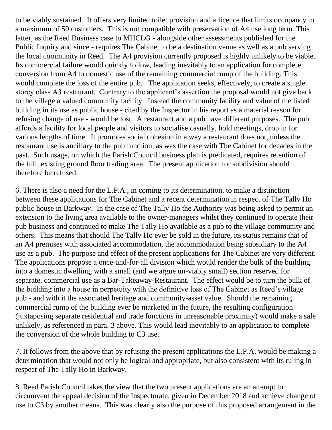to be viably sustained. It offers very limited toilet provision and a licence that limits occupancy to a maximum of 50 customers. This is not compatible with preservation of A4 use long term. This latter, as the Reed Business case to MHCLG - alongside other assessments published for the Public Inquiry and since - requires The Cabinet to be a destination venue as well as a pub serving the local community in Reed. The A4 provision currently proposed is highly unlikely to be viable. Its commercial failure would quickly follow, leading inevitably to an application for complete conversion from A4 to domestic use of the remaining commercial rump of the building. This would complete the loss of the entire pub. The application seeks, effectively, to create a single storey class A3 restaurant. Contrary to the applicant's assertion the proposal would not give back to the village a valued community facility. Instead the community facility and value of the listed building in its use as public house - cited by the Inspector in his report as a material reason for refusing change of use - would be lost. A restaurant and a pub have different purposes. The pub affords a facility for local people and visitors to socialise casually, hold meetings, drop in for various lengths of time. It promotes social cohesion in a way a restaurant does not, unless the restaurant use is ancillary to the pub function, as was the case with The Cabinet for decades in the past. Such usage, on which the Parish Council business plan is predicated, requires retention of the full, existing ground floor trading area. The present application for subdivision should therefore be refused.

6. There is also a need for the L.P.A., in coming to its determination, to make a distinction between these applications for The Cabinet and a recent determination in respect of The Tally Ho public house in Barkway. In the case of The Tally Ho the Authority was being asked to permit an extension to the living area available to the owner-managers whilst they continued to operate their pub business and continued to make The Tally Ho available as a pub to the village community and others. This means that should The Tally Ho ever be sold in the future, its status remains that of an A4 premises with associated accommodation, the accommodation being subsidiary to the A4 use as a pub. The purpose and effect of the present applications for The Cabinet are very different. The applications propose a once-and-for-all division which would render the bulk of the building into a domestic dwelling, with a small (and we argue un-viably small) section reserved for separate, commercial use as a Bar-Takeaway-Restaurant. The effect would be to turn the bulk of the building into a house in perpetuity with the definitive loss of The Cabinet as Reed's village pub - and with it the associated heritage and community-asset value. Should the remaining commercial rump of the building ever be marketed in the future, the resulting configuration (juxtaposing separate residential and trade functions in unreasonable proximity) would make a sale unlikely, as referenced in para. 3 above. This would lead inevitably to an application to complete the conversion of the whole building to C3 use.

7. It follows from the above that by refusing the present applications the L.P.A. would be making a determination that would not only be logical and appropriate, but also consistent with its ruling in respect of The Tally Ho in Barkway.

8. Reed Parish Council takes the view that the two present applications are an attempt to circumvent the appeal decision of the Inspectorate, given in December 2018 and achieve change of use to C3 by another means. This was clearly also the purpose of this proposed arrangement in the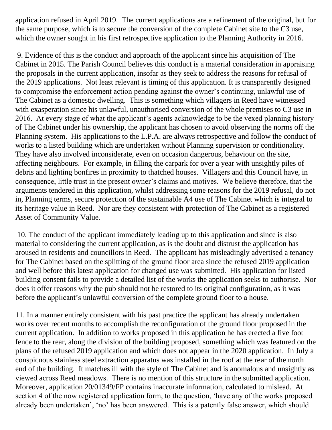application refused in April 2019. The current applications are a refinement of the original, but for the same purpose, which is to secure the conversion of the complete Cabinet site to the C3 use, which the owner sought in his first retrospective application to the Planning Authority in 2016.

9. Evidence of this is the conduct and approach of the applicant since his acquisition of The Cabinet in 2015. The Parish Council believes this conduct is a material consideration in appraising the proposals in the current application, insofar as they seek to address the reasons for refusal of the 2019 applications. Not least relevant is timing of this application. It is transparently designed to compromise the enforcement action pending against the owner's continuing, unlawful use of The Cabinet as a domestic dwelling. This is something which villagers in Reed have witnessed with exasperation since his unlawful, unauthorised conversion of the whole premises to C3 use in 2016. At every stage of what the applicant's agents acknowledge to be the vexed planning history of The Cabinet under his ownership, the applicant has chosen to avoid observing the norms off the Planning system. His applications to the L.P.A. are always retrospective and follow the conduct of works to a listed building which are undertaken without Planning supervision or conditionality. They have also involved inconsiderate, even on occasion dangerous, behaviour on the site, affecting neighbours. For example, in filling the carpark for over a year with unsightly piles of debris and lighting bonfires in proximity to thatched houses. Villagers and this Council have, in consequence, little trust in the present owner's claims and motives. We believe therefore, that the arguments tendered in this application, whilst addressing some reasons for the 2019 refusal, do not in, Planning terms, secure protection of the sustainable A4 use of The Cabinet which is integral to its heritage value in Reed. Nor are they consistent with protection of The Cabinet as a registered Asset of Community Value.

10. The conduct of the applicant immediately leading up to this application and since is also material to considering the current application, as is the doubt and distrust the application has aroused in residents and councillors in Reed. The applicant has misleadingly advertised a tenancy for The Cabinet based on the splitting of the ground floor area since the refused 2019 application and well before this latest application for changed use was submitted. His application for listed building consent fails to provide a detailed list of the works the application seeks to authorise. Nor does it offer reasons why the pub should not be restored to its original configuration, as it was before the applicant's unlawful conversion of the complete ground floor to a house.

11. In a manner entirely consistent with his past practice the applicant has already undertaken works over recent months to accomplish the reconfiguration of the ground floor proposed in the current application. In addition to works proposed in this application he has erected a five foot fence to the rear, along the division of the building proposed, something which was featured on the plans of the refused 2019 application and which does not appear in the 2020 application. In July a conspicuous stainless steel extraction apparatus was installed in the roof at the rear of the north end of the building. It matches ill with the style of The Cabinet and is anomalous and unsightly as viewed across Reed meadows. There is no mention of this structure in the submitted application. Moreover, application 20/01349/FP contains inaccurate information, calculated to mislead. At section 4 of the now registered application form, to the question, 'have any of the works proposed already been undertaken', 'no' has been answered. This is a patently false answer, which should